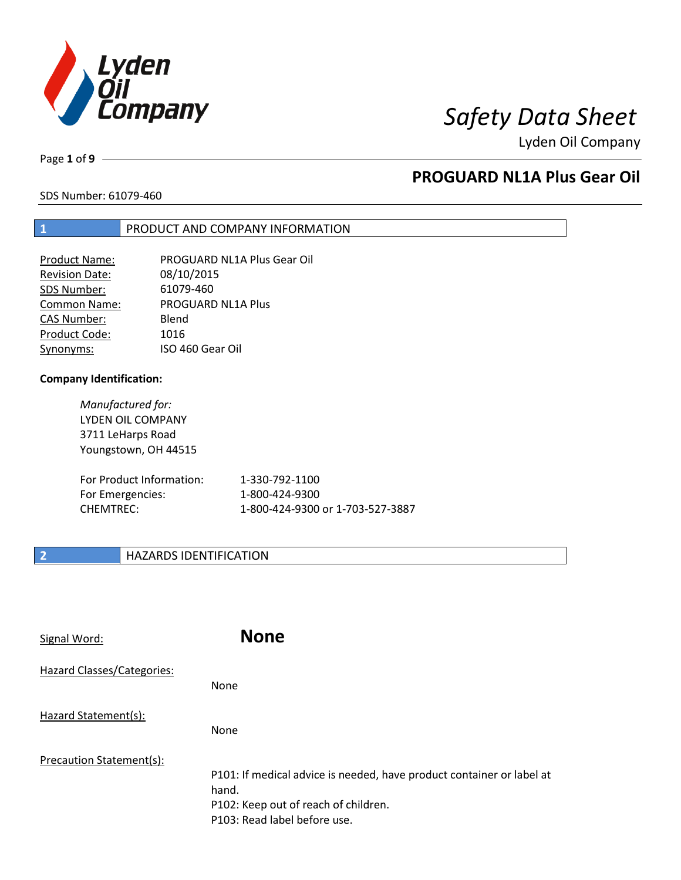

# *Safety Data Sheet*

Lyden Oil Company

Page **1** of **9**

## **PROGUARD NL1A Plus Gear Oil**

SDS Number: 61079-460

## **1** PRODUCT AND COMPANY INFORMATION

| Product Name:       | PROGUARD NL1A Plus Gear Oil |
|---------------------|-----------------------------|
| Revision Date:      | 08/10/2015                  |
| SDS Number:         | 61079-460                   |
| <b>Common Name:</b> | PROGUARD NL1A Plus          |
| <b>CAS Number:</b>  | Blend                       |
| Product Code:       | 1016                        |
| Synonyms:           | ISO 460 Gear Oil            |

## **Company Identification:**

*Manufactured for:*  LYDEN OIL COMPANY 3711 LeHarps Road Youngstown, OH 44515

| For Product Information: | 1-330-792-1100                   |
|--------------------------|----------------------------------|
| For Emergencies:         | 1-800-424-9300                   |
| CHEMTREC:                | 1-800-424-9300 or 1-703-527-3887 |

## **2 HAZARDS IDENTIFICATION**

| Signal Word:               | <b>None</b>                                                                                                                                            |
|----------------------------|--------------------------------------------------------------------------------------------------------------------------------------------------------|
| Hazard Classes/Categories: | None                                                                                                                                                   |
| Hazard Statement(s):       | None                                                                                                                                                   |
| Precaution Statement(s):   | P101: If medical advice is needed, have product container or label at<br>hand.<br>P102: Keep out of reach of children.<br>P103: Read label before use. |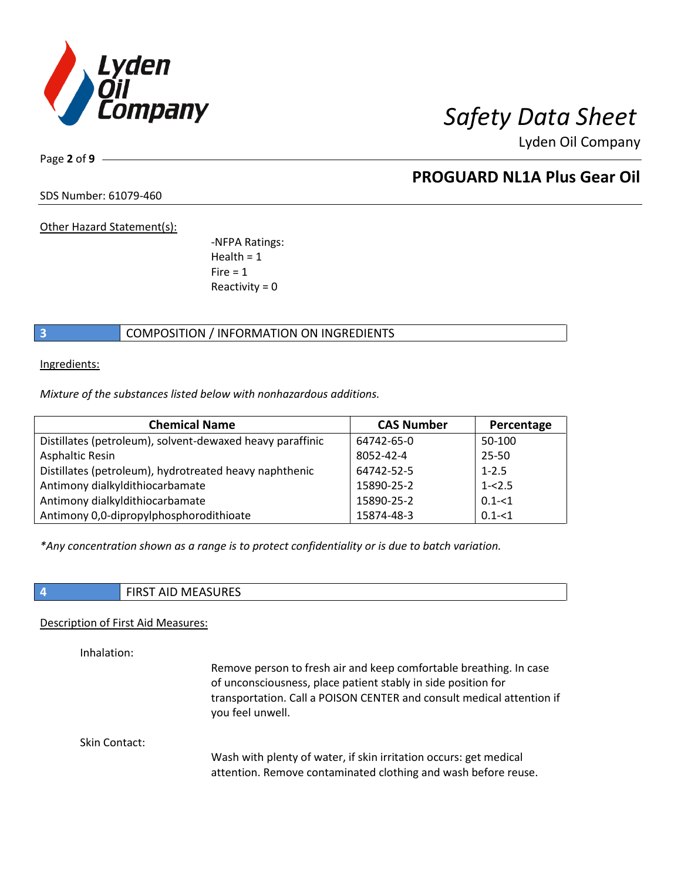

Page **2** of **9**

# **PROGUARD NL1A Plus Gear Oil**

SDS Number: 61079-460

Other Hazard Statement(s):

-NFPA Ratings: Health  $= 1$  $Fire = 1$ Reactivity  $= 0$ 

## **3** COMPOSITION / INFORMATION ON INGREDIENTS

Ingredients:

*Mixture of the substances listed below with nonhazardous additions.*

| <b>Chemical Name</b>                                      | <b>CAS Number</b> | Percentage |
|-----------------------------------------------------------|-------------------|------------|
| Distillates (petroleum), solvent-dewaxed heavy paraffinic | 64742-65-0        | 50-100     |
| Asphaltic Resin                                           | 8052-42-4         | $25 - 50$  |
| Distillates (petroleum), hydrotreated heavy naphthenic    | 64742-52-5        | $1 - 2.5$  |
| Antimony dialkyldithiocarbamate                           | 15890-25-2        | $1 - 2.5$  |
| Antimony dialkyldithiocarbamate                           | 15890-25-2        | $0.1 - 51$ |
| Antimony 0,0-dipropylphosphorodithioate                   | 15874-48-3        | $0.1 - 51$ |

*\*Any concentration shown as a range is to protect confidentiality or is due to batch variation.*

**4** FIRST AID MEASURES

## Description of First Aid Measures:

Inhalation:

Remove person to fresh air and keep comfortable breathing. In case of unconsciousness, place patient stably in side position for transportation. Call a POISON CENTER and consult medical attention if you feel unwell.

Skin Contact:

Wash with plenty of water, if skin irritation occurs: get medical attention. Remove contaminated clothing and wash before reuse.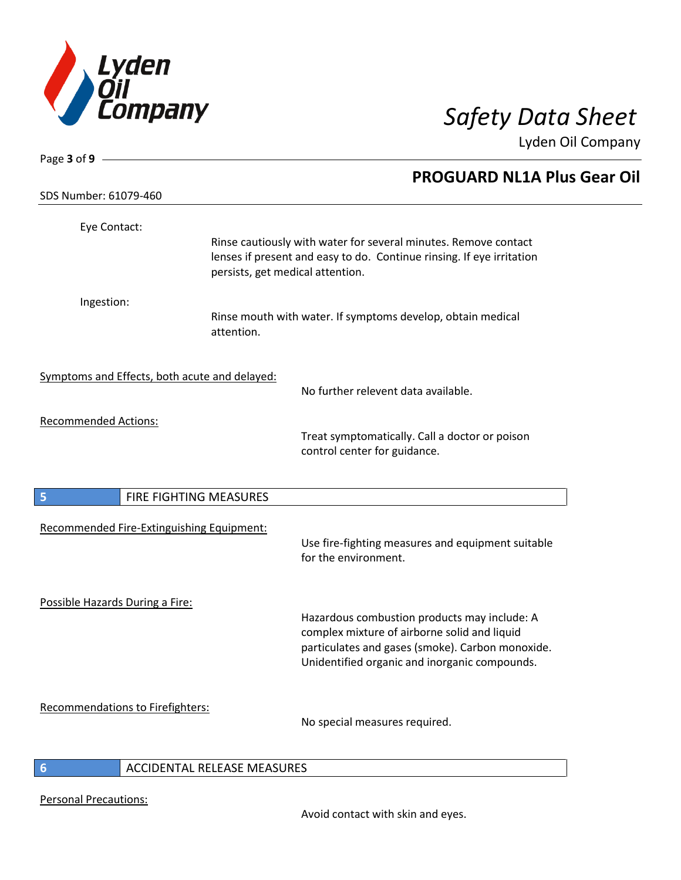

| Page 3 of 9 $-$                 |                                               |                                                                                                                                                                                                   |
|---------------------------------|-----------------------------------------------|---------------------------------------------------------------------------------------------------------------------------------------------------------------------------------------------------|
| SDS Number: 61079-460           |                                               | PROGUARD NL1A Plus Gear Oil                                                                                                                                                                       |
|                                 |                                               |                                                                                                                                                                                                   |
| Eye Contact:                    |                                               |                                                                                                                                                                                                   |
|                                 |                                               | Rinse cautiously with water for several minutes. Remove contact<br>lenses if present and easy to do. Continue rinsing. If eye irritation<br>persists, get medical attention.                      |
| Ingestion:                      |                                               |                                                                                                                                                                                                   |
|                                 | attention.                                    | Rinse mouth with water. If symptoms develop, obtain medical                                                                                                                                       |
|                                 | Symptoms and Effects, both acute and delayed: | No further relevent data available.                                                                                                                                                               |
|                                 |                                               |                                                                                                                                                                                                   |
| <b>Recommended Actions:</b>     |                                               | Treat symptomatically. Call a doctor or poison<br>control center for guidance.                                                                                                                    |
| 5                               | FIRE FIGHTING MEASURES                        |                                                                                                                                                                                                   |
|                                 |                                               |                                                                                                                                                                                                   |
|                                 | Recommended Fire-Extinguishing Equipment:     | Use fire-fighting measures and equipment suitable<br>for the environment.                                                                                                                         |
|                                 |                                               |                                                                                                                                                                                                   |
| Possible Hazards During a Fire: |                                               | Hazardous combustion products may include: A<br>complex mixture of airborne solid and liquid<br>particulates and gases (smoke). Carbon monoxide.<br>Unidentified organic and inorganic compounds. |
|                                 |                                               |                                                                                                                                                                                                   |
|                                 | Recommendations to Firefighters:              | No special measures required.                                                                                                                                                                     |
| 6                               | ACCIDENTAL RELEASE MEASURES                   |                                                                                                                                                                                                   |
|                                 |                                               |                                                                                                                                                                                                   |

Personal Precautions: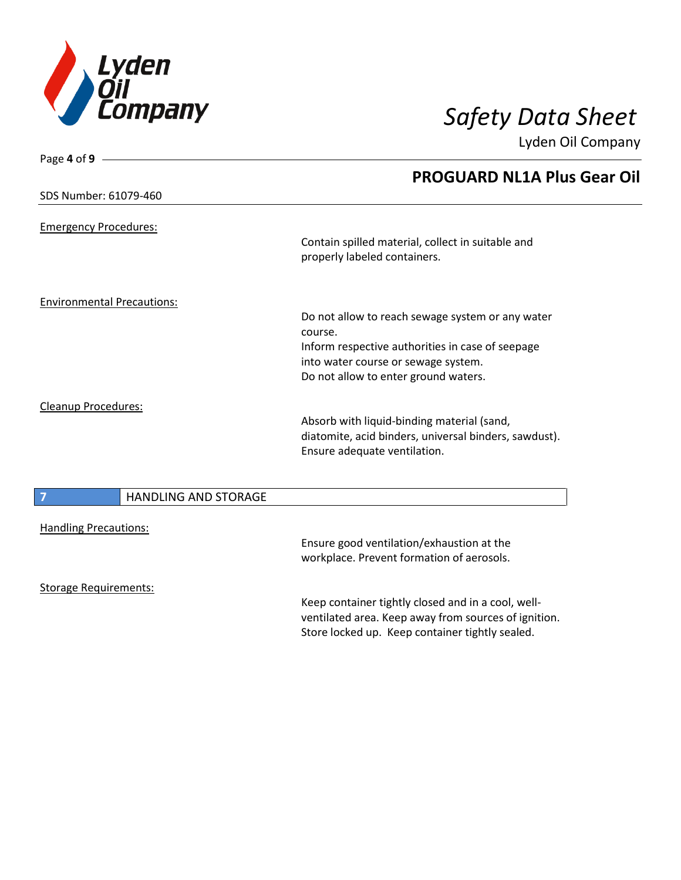

Page **4** of **9**

Lyden Oil Company

|                            |                                   | <b>PROGUARD NL1A Plus Gear Oil</b>                    |
|----------------------------|-----------------------------------|-------------------------------------------------------|
|                            | SDS Number: 61079-460             |                                                       |
|                            | <b>Emergency Procedures:</b>      |                                                       |
|                            |                                   | Contain spilled material, collect in suitable and     |
|                            |                                   | properly labeled containers.                          |
|                            | <b>Environmental Precautions:</b> |                                                       |
|                            |                                   | Do not allow to reach sewage system or any water      |
|                            |                                   | course.                                               |
|                            |                                   | Inform respective authorities in case of seepage      |
|                            |                                   | into water course or sewage system.                   |
|                            |                                   | Do not allow to enter ground waters.                  |
| <b>Cleanup Procedures:</b> |                                   |                                                       |
|                            |                                   | Absorb with liquid-binding material (sand,            |
|                            |                                   | diatomite, acid binders, universal binders, sawdust). |
|                            |                                   | Ensure adequate ventilation.                          |
|                            |                                   |                                                       |
|                            | <b>HANDLING AND STORAGE</b>       |                                                       |
|                            |                                   |                                                       |
|                            | <b>Handling Precautions:</b>      |                                                       |
|                            |                                   | Ensure good ventilation/exhaustion at the             |
|                            |                                   | workplace. Prevent formation of aerosols.             |
|                            | <b>Storage Requirements:</b>      |                                                       |
|                            |                                   | Keep container tightly closed and in a cool, well-    |
|                            |                                   | ventilated area. Keep away from sources of ignition.  |
|                            |                                   | Store locked up. Keep container tightly sealed.       |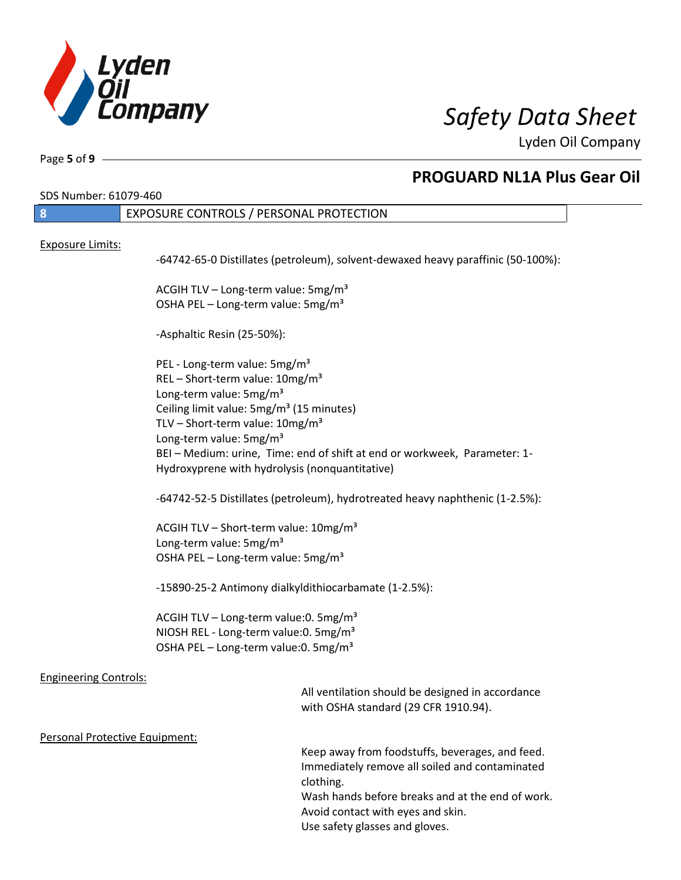

Page **5** of **9**

# **PROGUARD NL1A Plus Gear Oil**

SDS Number: 61079-460

| SDS NUMDEr: 61079-460          |                                                                                             |                                                                                  |
|--------------------------------|---------------------------------------------------------------------------------------------|----------------------------------------------------------------------------------|
| $\mathbf{8}$                   | EXPOSURE CONTROLS / PERSONAL PROTECTION                                                     |                                                                                  |
|                                |                                                                                             |                                                                                  |
| <b>Exposure Limits:</b>        |                                                                                             | -64742-65-0 Distillates (petroleum), solvent-dewaxed heavy paraffinic (50-100%): |
|                                | ACGIH TLV - Long-term value: 5mg/m <sup>3</sup>                                             |                                                                                  |
|                                | OSHA PEL - Long-term value: 5mg/m <sup>3</sup>                                              |                                                                                  |
|                                | -Asphaltic Resin (25-50%):                                                                  |                                                                                  |
|                                | PEL - Long-term value: 5mg/m <sup>3</sup>                                                   |                                                                                  |
|                                | REL - Short-term value: $10mg/m^3$                                                          |                                                                                  |
|                                | Long-term value: 5mg/m <sup>3</sup><br>Ceiling limit value: 5mg/m <sup>3</sup> (15 minutes) |                                                                                  |
|                                | TLV - Short-term value: $10mg/m^3$                                                          |                                                                                  |
|                                | Long-term value: 5mg/m <sup>3</sup>                                                         |                                                                                  |
|                                |                                                                                             | BEI-Medium: urine, Time: end of shift at end or workweek, Parameter: 1-          |
|                                | Hydroxyprene with hydrolysis (nonquantitative)                                              |                                                                                  |
|                                |                                                                                             | -64742-52-5 Distillates (petroleum), hydrotreated heavy naphthenic (1-2.5%):     |
|                                | ACGIH TLV - Short-term value: 10mg/m <sup>3</sup>                                           |                                                                                  |
|                                | Long-term value: 5mg/m <sup>3</sup>                                                         |                                                                                  |
|                                | OSHA PEL - Long-term value: 5mg/m <sup>3</sup>                                              |                                                                                  |
|                                | -15890-25-2 Antimony dialkyldithiocarbamate (1-2.5%):                                       |                                                                                  |
|                                | ACGIH TLV - Long-term value: 0. 5mg/m <sup>3</sup>                                          |                                                                                  |
|                                | NIOSH REL - Long-term value: 0. 5mg/m <sup>3</sup>                                          |                                                                                  |
|                                | OSHA PEL - Long-term value: 0. 5mg/m <sup>3</sup>                                           |                                                                                  |
|                                |                                                                                             |                                                                                  |
| <b>Engineering Controls:</b>   |                                                                                             | All ventilation should be designed in accordance                                 |
|                                |                                                                                             | with OSHA standard (29 CFR 1910.94).                                             |
|                                |                                                                                             |                                                                                  |
| Personal Protective Equipment: |                                                                                             |                                                                                  |
|                                |                                                                                             | Keep away from foodstuffs, beverages, and feed.                                  |
|                                | clothing.                                                                                   | Immediately remove all soiled and contaminated                                   |
|                                |                                                                                             | Wash hands before breaks and at the end of work.                                 |
|                                |                                                                                             | Avoid contact with eyes and skin.                                                |
|                                |                                                                                             | Use safety glasses and gloves.                                                   |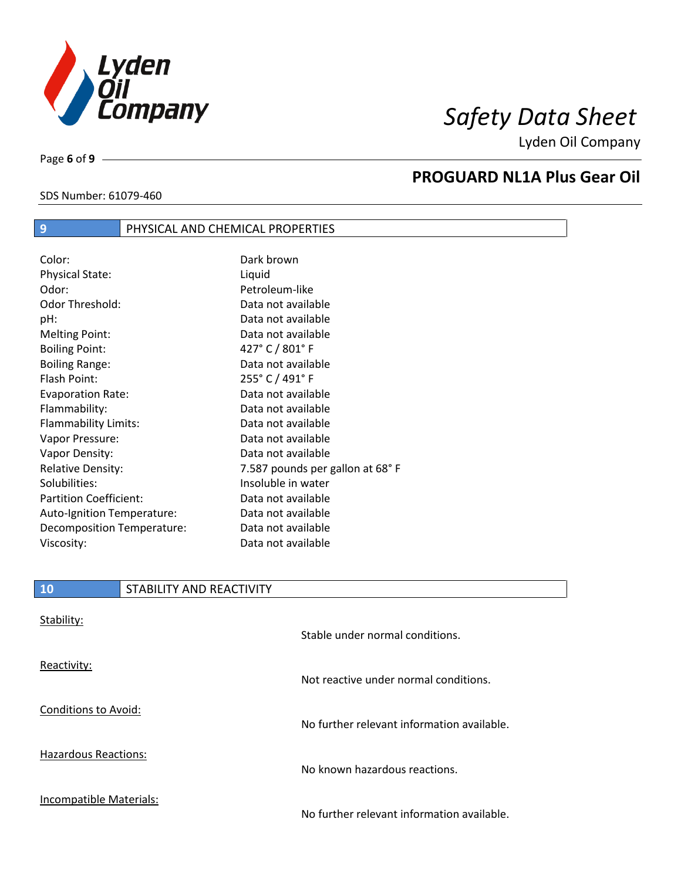

# *Safety Data Sheet*

Lyden Oil Company

SDS Number: 61079-460

Page **6** of **9**

I

# **PROGUARD NL1A Plus Gear Oil**

## Color: Dark brown Physical State: Liquid Odor: Petroleum-like Odor Threshold: Data not available pH: Data not available Melting Point: Case Communication Control Data not available Boiling Point: 427° C / 801° F Boiling Range: The Communication of a Data not available Flash Point: 255° C / 491° F Evaporation Rate: Data not available Flammability: Data not available Flammability Limits: Data not available Vapor Pressure: Data not available Vapor Density: Data not available Relative Density: The Mass of the 7.587 pounds per gallon at 68° F Solubilities: Insoluble in water Partition Coefficient: Data not available Auto-Ignition Temperature: Data not available Decomposition Temperature: Data not available Viscosity: Data not available

**9 PHYSICAL AND CHEMICAL PROPERTIES** 

| <b>10</b>                   | STABILITY AND REACTIVITY |                                            |
|-----------------------------|--------------------------|--------------------------------------------|
| Stability:                  |                          | Stable under normal conditions.            |
| Reactivity:                 |                          | Not reactive under normal conditions.      |
| <b>Conditions to Avoid:</b> |                          | No further relevant information available. |
| <b>Hazardous Reactions:</b> |                          | No known hazardous reactions.              |
| Incompatible Materials:     |                          | No further relevant information available. |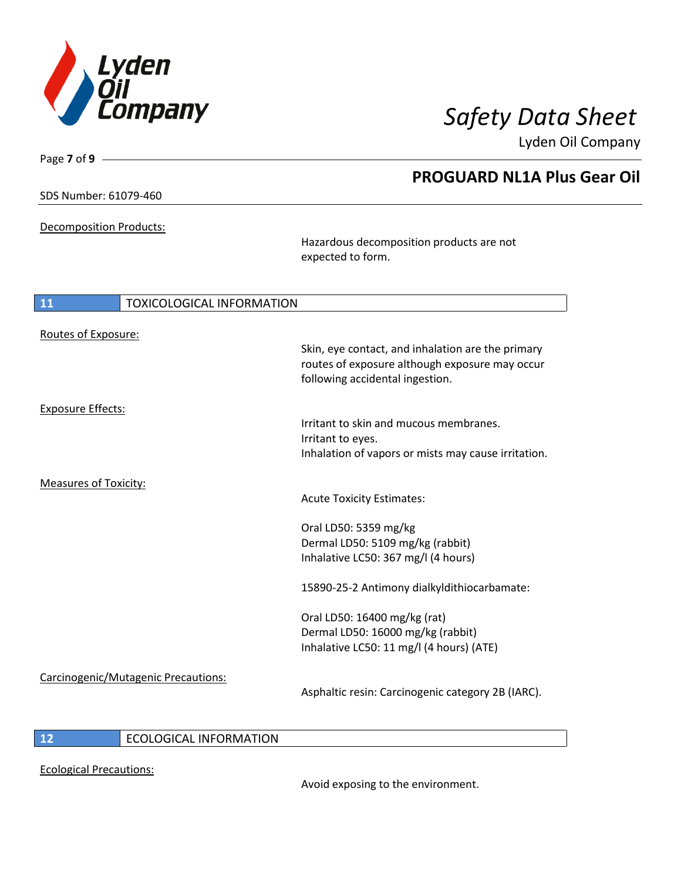

**PROGUARD NL1A Plus Gear Oil**

Lyden Oil Company

SDS Number: 61079-460

Page **7** of **9**

Decomposition Products:

Hazardous decomposition products are not expected to form.

| 11                           | <b>TOXICOLOGICAL INFORMATION</b>    |                                                                                                                                        |
|------------------------------|-------------------------------------|----------------------------------------------------------------------------------------------------------------------------------------|
| Routes of Exposure:          |                                     |                                                                                                                                        |
|                              |                                     | Skin, eye contact, and inhalation are the primary<br>routes of exposure although exposure may occur<br>following accidental ingestion. |
| <b>Exposure Effects:</b>     |                                     |                                                                                                                                        |
|                              |                                     | Irritant to skin and mucous membranes.<br>Irritant to eyes.                                                                            |
|                              |                                     | Inhalation of vapors or mists may cause irritation.                                                                                    |
| <b>Measures of Toxicity:</b> |                                     |                                                                                                                                        |
|                              |                                     | <b>Acute Toxicity Estimates:</b>                                                                                                       |
|                              |                                     | Oral LD50: 5359 mg/kg                                                                                                                  |
|                              |                                     | Dermal LD50: 5109 mg/kg (rabbit)<br>Inhalative LC50: 367 mg/l (4 hours)                                                                |
|                              |                                     |                                                                                                                                        |
|                              |                                     | 15890-25-2 Antimony dialkyldithiocarbamate:                                                                                            |
|                              |                                     | Oral LD50: 16400 mg/kg (rat)                                                                                                           |
|                              |                                     | Dermal LD50: 16000 mg/kg (rabbit)<br>Inhalative LC50: 11 mg/l (4 hours) (ATE)                                                          |
|                              | Carcinogenic/Mutagenic Precautions: |                                                                                                                                        |
|                              |                                     | Asphaltic resin: Carcinogenic category 2B (IARC).                                                                                      |
|                              |                                     |                                                                                                                                        |

## **12** ECOLOGICAL INFORMATION

Ecological Precautions:

Avoid exposing to the environment.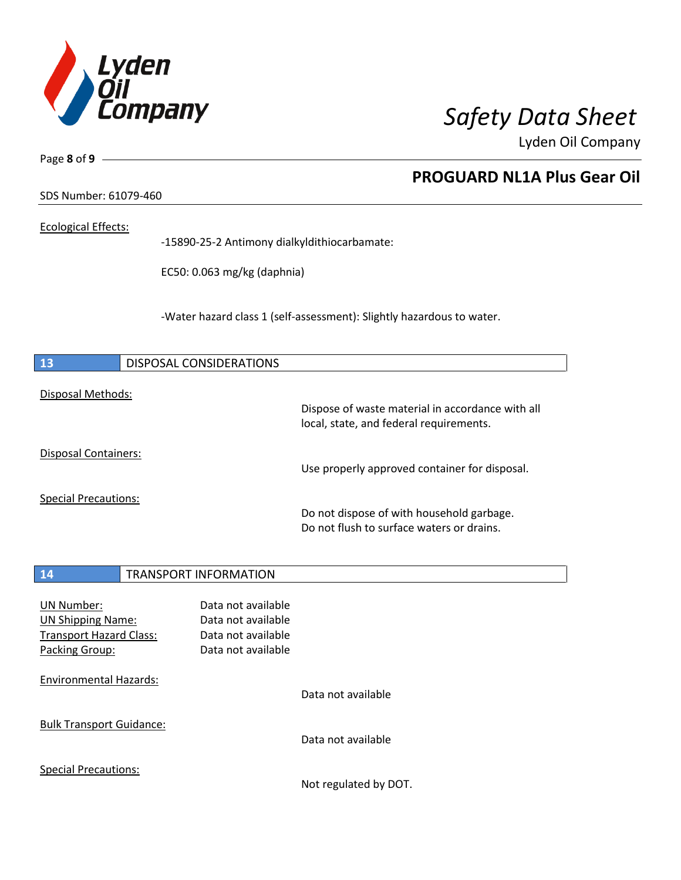

**PROGUARD NL1A Plus Gear Oil**

Lyden Oil Company

SDS Number: 61079-460

## Ecological Effects:

Page **8** of **9**

-15890-25-2 Antimony dialkyldithiocarbamate:

EC50: 0.063 mg/kg (daphnia)

-Water hazard class 1 (self-assessment): Slightly hazardous to water.

| 13                                                                                                | <b>DISPOSAL CONSIDERATIONS</b>                                                       |                                                                                          |
|---------------------------------------------------------------------------------------------------|--------------------------------------------------------------------------------------|------------------------------------------------------------------------------------------|
| Disposal Methods:                                                                                 |                                                                                      | Dispose of waste material in accordance with all                                         |
| <b>Disposal Containers:</b>                                                                       |                                                                                      | local, state, and federal requirements.<br>Use properly approved container for disposal. |
| <b>Special Precautions:</b>                                                                       |                                                                                      |                                                                                          |
|                                                                                                   |                                                                                      | Do not dispose of with household garbage.<br>Do not flush to surface waters or drains.   |
| 14                                                                                                | <b>TRANSPORT INFORMATION</b>                                                         |                                                                                          |
| <b>UN Number:</b><br><b>UN Shipping Name:</b><br><b>Transport Hazard Class:</b><br>Packing Group: | Data not available<br>Data not available<br>Data not available<br>Data not available |                                                                                          |
| <b>Environmental Hazards:</b>                                                                     |                                                                                      | Data not available                                                                       |
| <b>Bulk Transport Guidance:</b>                                                                   |                                                                                      | Data not available                                                                       |
| <b>Special Precautions:</b>                                                                       |                                                                                      | Not regulated by DOT.                                                                    |